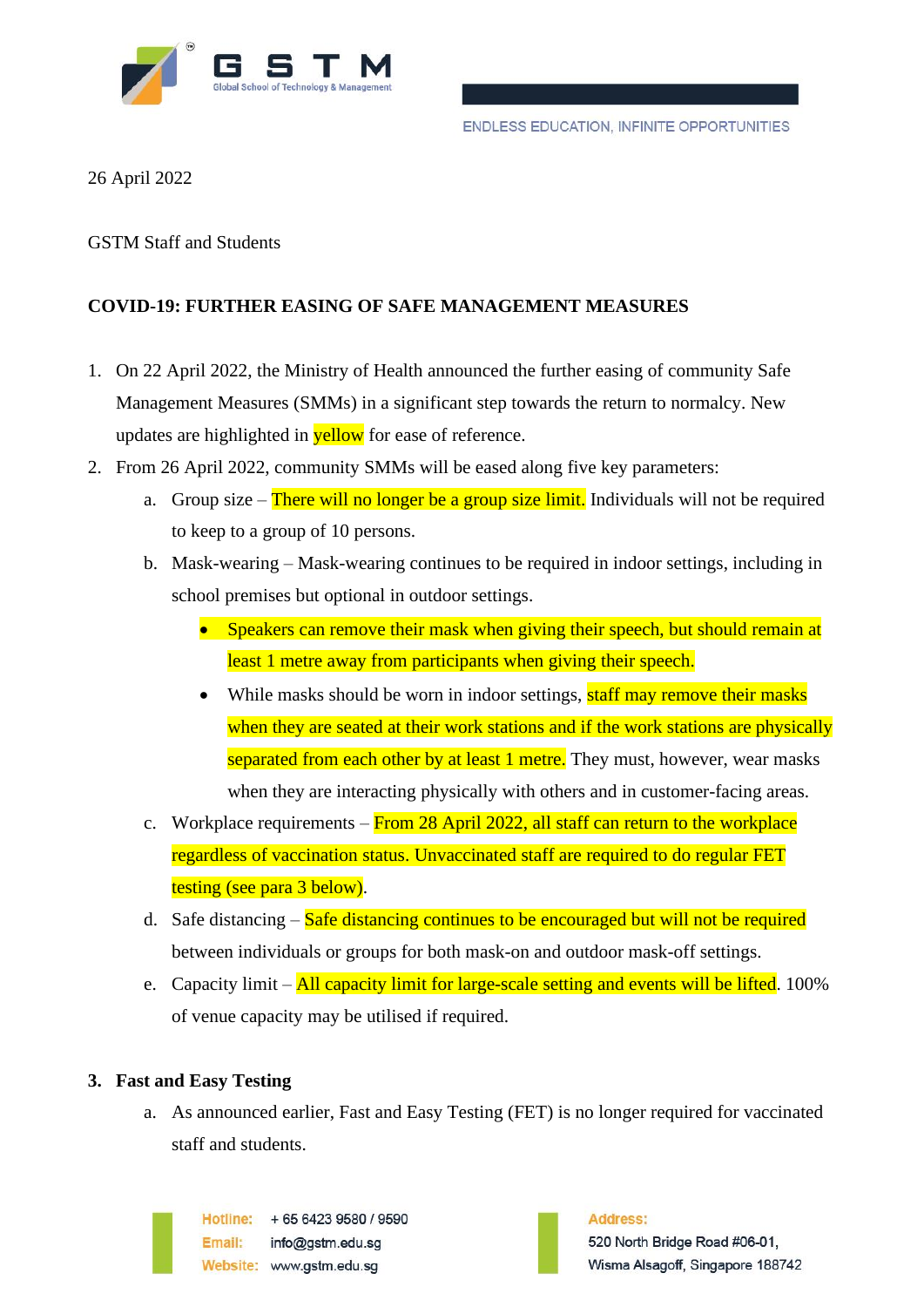

26 April 2022

GSTM Staff and Students

## **COVID-19: FURTHER EASING OF SAFE MANAGEMENT MEASURES**

- 1. On 22 April 2022, the Ministry of Health announced the further easing of community Safe Management Measures (SMMs) in a significant step towards the return to normalcy. New updates are highlighted in **yellow** for ease of reference.
- 2. From 26 April 2022, community SMMs will be eased along five key parameters:
	- a. Group size There will no longer be a group size limit. Individuals will not be required to keep to a group of 10 persons.
	- b. Mask-wearing Mask-wearing continues to be required in indoor settings, including in school premises but optional in outdoor settings.
		- Speakers can remove their mask when giving their speech, but should remain at least 1 metre away from participants when giving their speech.
		- While masks should be worn in indoor settings, staff may remove their masks when they are seated at their work stations and if the work stations are physically separated from each other by at least 1 metre. They must, however, wear masks when they are interacting physically with others and in customer-facing areas.
	- c. Workplace requirements  $-$  From 28 April 2022, all staff can return to the workplace regardless of vaccination status. Unvaccinated staff are required to do regular FET testing (see para 3 below).
	- d. Safe distancing  $-\frac{Safe}{\text{distance}}$  continues to be encouraged but will not be required between individuals or groups for both mask-on and outdoor mask-off settings.
	- e. Capacity limit All capacity limit for large-scale setting and events will be lifted. 100% of venue capacity may be utilised if required.

## **3. Fast and Easy Testing**

a. As announced earlier, Fast and Easy Testing (FET) is no longer required for vaccinated staff and students.

Hotline: +65 6423 9580 / 9590 Email: info@astm.edu.sa Website: www.gstm.edu.sq

Address: 520 North Bridge Road #06-01, Wisma Alsagoff, Singapore 188742